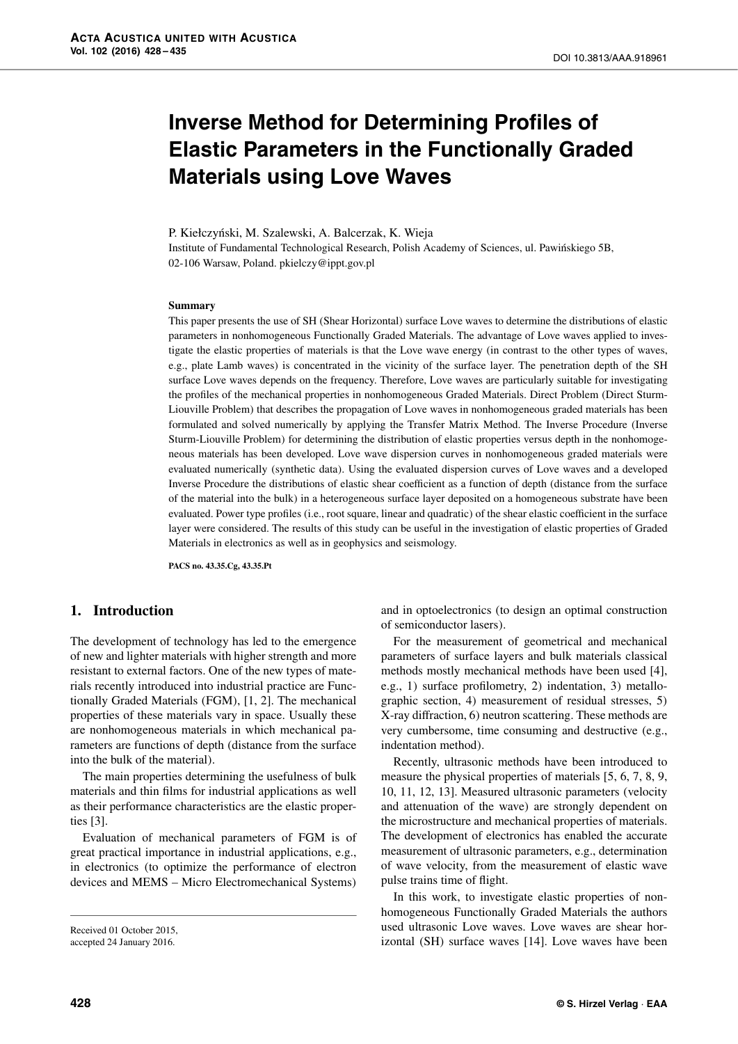# **Inverse Method for Determining Profiles of Elastic Parameters in the Functionally Graded Materials using Love Waves**

P. Kiełczyński, M. Szalewski, A. Balcerzak, K. Wieja Institute of Fundamental Technological Research, Polish Academy of Sciences, ul. Pawińskiego 5B, 02-106 Warsaw, Poland. pkielczy@ippt.gov.pl

#### **Summary**

This paper presents the use of SH (Shear Horizontal) surface Love waves to determine the distributions of elastic parameters in nonhomogeneous Functionally Graded Materials. The advantage of Love waves applied to investigate the elastic properties of materials is that the Love wave energy (in contrast to the other types of waves, e.g., plate Lamb waves) is concentrated in the vicinity of the surface layer. The penetration depth of the SH surface Love waves depends on the frequency. Therefore, Love waves are particularly suitable for investigating the profiles of the mechanical properties in nonhomogeneous Graded Materials. Direct Problem (Direct Sturm-Liouville Problem) that describes the propagation of Love waves in nonhomogeneous graded materials has been formulated and solved numerically by applying the Transfer Matrix Method. The Inverse Procedure (Inverse Sturm-Liouville Problem) for determining the distribution of elastic properties versus depth in the nonhomogeneous materials has been developed. Love wave dispersion curves in nonhomogeneous graded materials were evaluated numerically (synthetic data). Using the evaluated dispersion curves of Love waves and a developed Inverse Procedure the distributions of elastic shear coefficient as a function of depth (distance from the surface of the material into the bulk) in a heterogeneous surface layer deposited on a homogeneous substrate have been evaluated. Power type profiles (i.e., root square, linear and quadratic) of the shear elastic coefficient in the surface layer were considered. The results of this study can be useful in the investigation of elastic properties of Graded Materials in electronics as well as in geophysics and seismology.

**PACS no. 43.35.Cg, 43.35.Pt**

# **1. Introduction**

The development of technology has led to the emergence of new and lighter materials with higher strength and more resistant to external factors. One of the new types of materials recently introduced into industrial practice are Functionally Graded Materials (FGM), [1, 2]. The mechanical properties of these materials vary in space. Usually these are nonhomogeneous materials in which mechanical parameters are functions of depth (distance from the surface into the bulk of the material).

The main properties determining the usefulness of bulk materials and thin films for industrial applications as well as their performance characteristics are the elastic properties [3].

Evaluation of mechanical parameters of FGM is of great practical importance in industrial applications, e.g., in electronics (to optimize the performance of electron devices and MEMS – Micro Electromechanical Systems) and in optoelectronics (to design an optimal construction of semiconductor lasers).

For the measurement of geometrical and mechanical parameters of surface layers and bulk materials classical methods mostly mechanical methods have been used [4], e.g., 1) surface profilometry, 2) indentation, 3) metallographic section, 4) measurement of residual stresses, 5) X-ray diffraction, 6) neutron scattering. These methods are very cumbersome, time consuming and destructive (e.g., indentation method).

Recently, ultrasonic methods have been introduced to measure the physical properties of materials [5, 6, 7, 8, 9, 10, 11, 12, 13]. Measured ultrasonic parameters (velocity and attenuation of the wave) are strongly dependent on the microstructure and mechanical properties of materials. The development of electronics has enabled the accurate measurement of ultrasonic parameters, e.g., determination of wave velocity, from the measurement of elastic wave pulse trains time of flight.

In this work, to investigate elastic properties of nonhomogeneous Functionally Graded Materials the authors used ultrasonic Love waves. Love waves are shear horizontal (SH) surface waves [14]. Love waves have been

Received 01 October 2015, accepted 24 January 2016.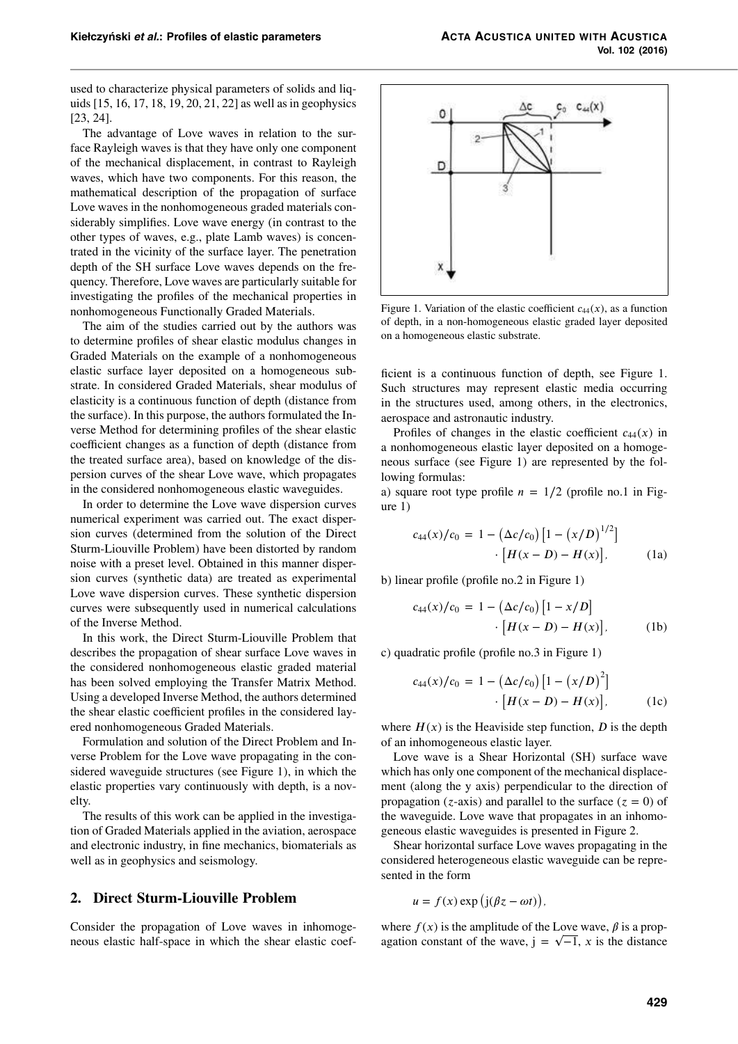used to characterize physical parameters of solids and liquids[15, 16, 17, 18, 19, 20, 21, 22] as well asin geophysics [23, 24].

The advantage of Love waves in relation to the surface Rayleigh waves is that they have only one component of the mechanical displacement, in contrast to Rayleigh waves, which have two components. For this reason, the mathematical description of the propagation of surface Love waves in the nonhomogeneous graded materials considerably simplifies. Love wave energy (in contrast to the other types of waves, e.g., plate Lamb waves) is concentrated in the vicinity of the surface layer. The penetration depth of the SH surface Love waves depends on the frequency. Therefore, Love waves are particularly suitable for investigating the profiles of the mechanical properties in nonhomogeneous Functionally Graded Materials.

The aim of the studies carried out by the authors was to determine profiles of shear elastic modulus changes in Graded Materials on the example of a nonhomogeneous elastic surface layer deposited on a homogeneous substrate. In considered Graded Materials, shear modulus of elasticity is a continuous function of depth (distance from the surface). In this purpose, the authors formulated the Inverse Method for determining profiles of the shear elastic coefficient changes as a function of depth (distance from the treated surface area), based on knowledge of the dispersion curves of the shear Love wave, which propagates in the considered nonhomogeneous elastic waveguides.

In order to determine the Love wave dispersion curves numerical experiment was carried out. The exact dispersion curves (determined from the solution of the Direct Sturm-Liouville Problem) have been distorted by random noise with a preset level. Obtained in this manner dispersion curves (synthetic data) are treated as experimental Love wave dispersion curves. These synthetic dispersion curves were subsequently used in numerical calculations of the Inverse Method.

In this work, the Direct Sturm-Liouville Problem that describes the propagation of shear surface Love waves in the considered nonhomogeneous elastic graded material has been solved employing the Transfer Matrix Method. Using a developed Inverse Method, the authors determined the shear elastic coefficient profiles in the considered layered nonhomogeneous Graded Materials.

Formulation and solution of the Direct Problem and Inverse Problem for the Love wave propagating in the considered waveguide structures (see Figure 1), in which the elastic properties vary continuously with depth, is a novelty.

The results of this work can be applied in the investigation of Graded Materials applied in the aviation, aerospace and electronic industry, in fine mechanics, biomaterials as well as in geophysics and seismology.

# **2. Direct Sturm-Liouville Problem**

Consider the propagation of Love waves in inhomogeneous elastic half-space in which the shear elastic coef-



Figure 1. Variation of the elastic coefficient  $c_{44}(x)$ , as a function of depth, in a non-homogeneous elastic graded layer deposited on a homogeneous elastic substrate.

ficient is a continuous function of depth, see Figure 1. Such structures may represent elastic media occurring in the structures used, among others, in the electronics, aerospace and astronautic industry.

Profiles of changes in the elastic coefficient  $c_{44}(x)$  in a nonhomogeneous elastic layer deposited on a homogeneous surface (see Figure 1) are represented by the following formulas:

a) square root type profile  $n = 1/2$  (profile no.1 in Figure 1)

$$
c_{44}(x)/c_0 = 1 - (\Delta c/c_0) [1 - (x/D)^{1/2}]
$$

$$
\cdot [H(x - D) - H(x)], \qquad (1a)
$$

b) linear profile (profile no.2 in Figure 1)

$$
c_{44}(x)/c_0 = 1 - (\Delta c/c_0) [1 - x/D] \cdot [H(x - D) - H(x)],
$$
 (1b)

c) quadratic profile (profile no.3 in Figure 1)

$$
c_{44}(x)/c_0 = 1 - (\Delta c/c_0) [1 - (x/D)^2] \cdot [H(x - D) - H(x)],
$$
 (1c)

where  $H(x)$  is the Heaviside step function, *D* is the depth of an inhomogeneous elastic layer.

Love wave is a Shear Horizontal (SH) surface wave which has only one component of the mechanical displacement (along the y axis) perpendicular to the direction of propagation ( $z$ -axis) and parallel to the surface ( $z = 0$ ) of the waveguide. Love wave that propagates in an inhomogeneous elastic waveguides is presented in Figure 2.

Shear horizontal surface Love waves propagating in the considered heterogeneous elastic waveguide can be represented in the form

$$
u = f(x) \exp (j(\beta z - \omega t)),
$$

where  $f(x)$  is the amplitude of the Love wave,  $\beta$  is a propagation constant of the wave,  $j = \sqrt{-1}$ , *x* is the distance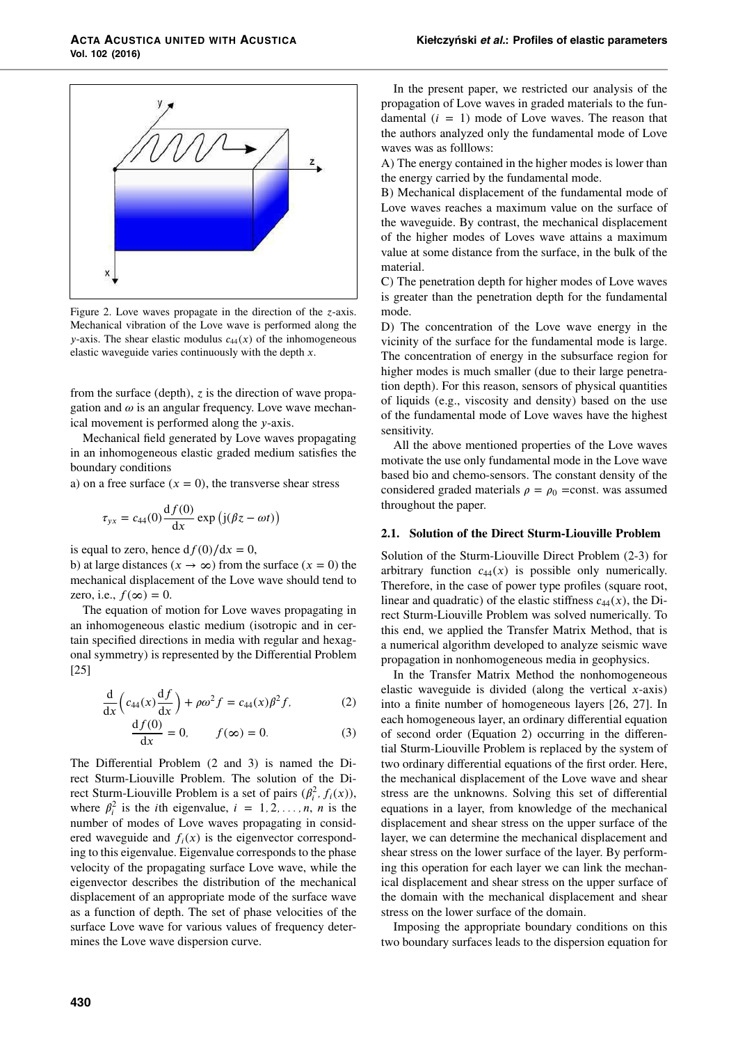

Figure 2. Love waves propagate in the direction of the *z*-axis. Mechanical vibration of the Love wave is performed along the *y*-axis. The shear elastic modulus  $c_{44}(x)$  of the inhomogeneous elastic waveguide varies continuously with the depth *x*.

from the surface (depth),  $z$  is the direction of wave propagation and  $\omega$  is an angular frequency. Love wave mechanical movement is performed along the *y*-axis.

Mechanical field generated by Love waves propagating in an inhomogeneous elastic graded medium satisfies the boundary conditions

a) on a free surface  $(x = 0)$ , the transverse shear stress

$$
\tau_{yx} = c_{44}(0) \frac{\mathrm{d} f(0)}{\mathrm{d} x} \exp \left( \mathrm{j} (\beta z - \omega t) \right)
$$

is equal to zero, hence  $df(0)/dx = 0$ ,

b) at large distances ( $x \to \infty$ ) from the surface ( $x = 0$ ) the mechanical displacement of the Love wave should tend to zero, i.e.,  $f(\infty) = 0$ .

The equation of motion for Love waves propagating in an inhomogeneous elastic medium (isotropic and in certain specified directions in media with regular and hexagonal symmetry) is represented by the Differential Problem [25]

$$
\frac{\mathrm{d}}{\mathrm{d}x}\left(c_{44}(x)\frac{\mathrm{d}f}{\mathrm{d}x}\right) + \rho\omega^2 f = c_{44}(x)\beta^2 f,\tag{2}
$$

$$
\frac{df(0)}{dx} = 0, \qquad f(\infty) = 0. \tag{3}
$$

The Differential Problem (2 and 3) is named the Direct Sturm-Liouville Problem. The solution of the Direct Sturm-Liouville Problem is a set of pairs  $(\beta_i^2, f_i(x))$ , where  $\beta_i^2$  is the *i*th eigenvalue,  $i = 1, 2, ..., n$ , *n* is the number of modes of Love waves propagating in considered waveguide and  $f_i(x)$  is the eigenvector corresponding to this eigenvalue. Eigenvalue corresponds to the phase velocity of the propagating surface Love wave, while the eigenvector describes the distribution of the mechanical displacement of an appropriate mode of the surface wave as a function of depth. The set of phase velocities of the surface Love wave for various values of frequency determines the Love wave dispersion curve.

In the present paper, we restricted our analysis of the propagation of Love waves in graded materials to the fundamental  $(i = 1)$  mode of Love waves. The reason that the authors analyzed only the fundamental mode of Love waves was as folllows:

A) The energy contained in the higher modes is lower than the energy carried by the fundamental mode.

B) Mechanical displacement of the fundamental mode of Love waves reaches a maximum value on the surface of the waveguide. By contrast, the mechanical displacement of the higher modes of Loves wave attains a maximum value at some distance from the surface, in the bulk of the material.

C) The penetration depth for higher modes of Love waves is greater than the penetration depth for the fundamental mode.

D) The concentration of the Love wave energy in the vicinity of the surface for the fundamental mode is large. The concentration of energy in the subsurface region for higher modes is much smaller (due to their large penetration depth). For this reason, sensors of physical quantities of liquids (e.g., viscosity and density) based on the use of the fundamental mode of Love waves have the highest sensitivity.

All the above mentioned properties of the Love waves motivate the use only fundamental mode in the Love wave based bio and chemo-sensors. The constant density of the considered graded materials  $\rho = \rho_0$  =const. was assumed throughout the paper.

#### **2.1. Solution of the Direct Sturm-Liouville Problem**

Solution of the Sturm-Liouville Direct Problem (2-3) for arbitrary function  $c_{44}(x)$  is possible only numerically. Therefore, in the case of power type profiles (square root, linear and quadratic) of the elastic stiffness  $c_{44}(x)$ , the Direct Sturm-Liouville Problem was solved numerically. To this end, we applied the Transfer Matrix Method, that is a numerical algorithm developed to analyze seismic wave propagation in nonhomogeneous media in geophysics.

In the Transfer Matrix Method the nonhomogeneous elastic waveguide is divided (along the vertical *x*-axis) into a finite number of homogeneous layers [26, 27]. In each homogeneous layer, an ordinary differential equation of second order (Equation 2) occurring in the differential Sturm-Liouville Problem is replaced by the system of two ordinary differential equations of the first order. Here, the mechanical displacement of the Love wave and shear stress are the unknowns. Solving this set of differential equations in a layer, from knowledge of the mechanical displacement and shear stress on the upper surface of the layer, we can determine the mechanical displacement and shear stress on the lower surface of the layer. By performing this operation for each layer we can link the mechanical displacement and shear stress on the upper surface of the domain with the mechanical displacement and shear stress on the lower surface of the domain.

Imposing the appropriate boundary conditions on this two boundary surfaces leads to the dispersion equation for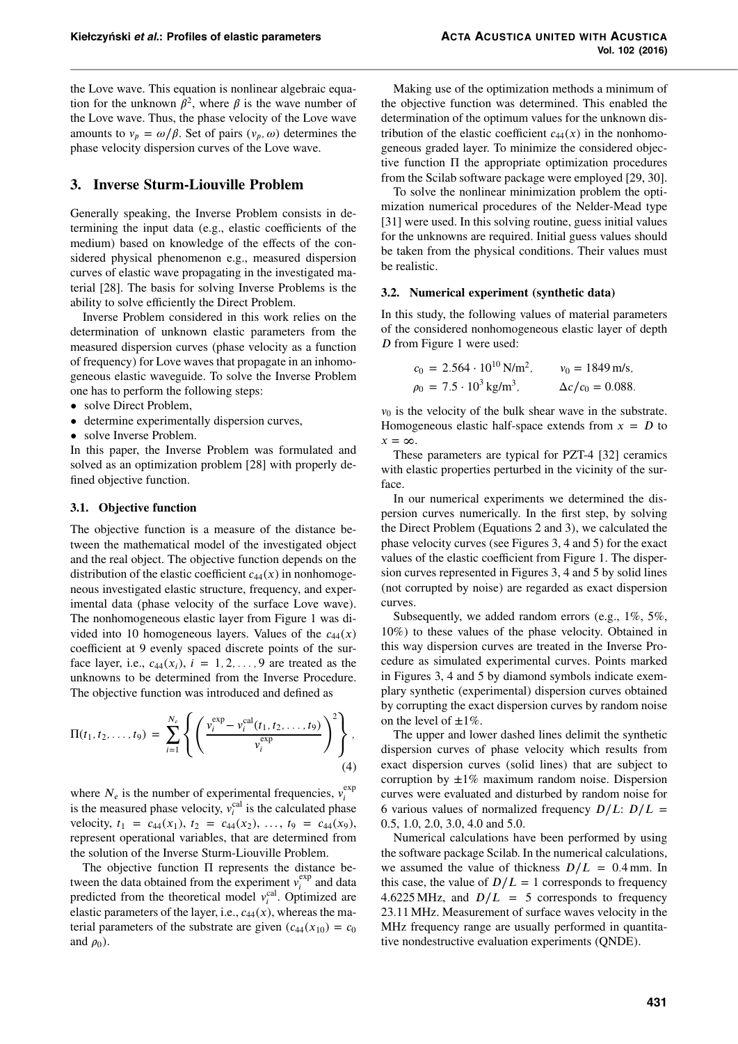the Love wave. This equation is nonlinear algebraic equation for the unknown  $\beta^2$ , where  $\beta$  is the wave number of the Love wave. Thus, the phase velocity of the Love wave amounts to  $v_p = \omega/\beta$ . Set of pairs  $(v_p, \omega)$  determines the phase velocity dispersion curves of the Love wave.

# **3. Inverse Sturm-Liouville Problem**

Generally speaking, the Inverse Problem consists in determining the input data (e.g., elastic coefficients of the medium) based on knowledge of the effects of the considered physical phenomenon e.g., measured dispersion curves of elastic wave propagating in the investigated material [28]. The basis for solving Inverse Problems is the ability to solve efficiently the Direct Problem.

Inverse Problem considered in this work relies on the determination of unknown elastic parameters from the measured dispersion curves (phase velocity as a function of frequency) for Love waves that propagate in an inhomogeneous elastic waveguide. To solve the Inverse Problem one has to perform the following steps:

- solve Direct Problem,
- determine experimentally dispersion curves,
- solve Inverse Problem.

In this paper, the Inverse Problem was formulated and solved as an optimization problem [28] with properly defined objective function.

#### **3.1. Objective function**

The objective function is a measure of the distance between the mathematical model of the investigated object and the real object. The objective function depends on the distribution of the elastic coefficient  $c_{44}(x)$  in nonhomogeneous investigated elastic structure, frequency, and experimental data (phase velocity of the surface Love wave). The nonhomogeneous elastic layer from Figure 1 was divided into 10 homogeneous layers. Values of the  $c_{44}(x)$ coefficient at 9 evenly spaced discrete points of the surface layer, i.e.,  $c_{44}(x_i)$ ,  $i = 1, 2, \ldots, 9$  are treated as the unknowns to be determined from the Inverse Procedure. The objective function was introduced and defined as

$$
\Pi(t_1, t_2, \dots, t_9) = \sum_{i=1}^{N_e} \left\{ \left( \frac{v_i^{\exp} - v_i^{\exp}(t_1, t_2, \dots, t_9)}{v_i^{\exp}} \right)^2 \right\}, \tag{4}
$$

where  $N_e$  is the number of experimental frequencies,  $v_i^{\text{exp}}$ where  $N_e$  is the number of experimental requencies,  $v_i$  is the measured phase velocity,  $v_i^{cal}$  is the calculated phase velocity,  $t_1 = c_{44}(x_1), t_2 = c_{44}(x_2), \ldots, t_9 = c_{44}(x_9),$ represent operational variables, that are determined from the solution of the Inverse Sturm-Liouville Problem.

The objective function Π represents the distance between the data obtained from the experiment  $v_i^{\text{exp}}$  $\int_{i}^{\exp}$  and data predicted from the theoretical model  $v_i^{\text{cal}}$ . Optimized are elastic parameters of the layer, i.e.,  $c_{44}(x)$ , whereas the material parameters of the substrate are given  $(c_{44}(x_{10}) = c_0)$ and  $\rho_0$ ).

Making use of the optimization methods a minimum of the objective function was determined. This enabled the determination of the optimum values for the unknown distribution of the elastic coefficient  $c_{44}(x)$  in the nonhomogeneous graded layer. To minimize the considered objective function Π the appropriate optimization procedures from the Scilab software package were employed [29, 30].

To solve the nonlinear minimization problem the optimization numerical procedures of the Nelder-Mead type [31] were used. In this solving routine, guess initial values for the unknowns are required. Initial guess values should be taken from the physical conditions. Their values must be realistic.

#### **3.2. Numerical experiment (synthetic data)**

In this study, the following values of material parameters of the considered nonhomogeneous elastic layer of depth *D* from Figure 1 were used:

$$
c_0 = 2.564 \cdot 10^{10} \text{ N/m}^2
$$
,  $v_0 = 1849 \text{ m/s}$ ,  
\n $\rho_0 = 7.5 \cdot 10^3 \text{ kg/m}^3$ ,  $\Delta c/c_0 = 0.088$ .

 $v_0$  is the velocity of the bulk shear wave in the substrate. Homogeneous elastic half-space extends from  $x = D$  to  $x = \infty$ .

These parameters are typical for PZT-4 [32] ceramics with elastic properties perturbed in the vicinity of the surface.

In our numerical experiments we determined the dispersion curves numerically. In the first step, by solving the Direct Problem (Equations 2 and 3), we calculated the phase velocity curves (see Figures 3, 4 and 5) for the exact values of the elastic coefficient from Figure 1. The dispersion curves represented in Figures 3, 4 and 5 by solid lines (not corrupted by noise) are regarded as exact dispersion curves.

Subsequently, we added random errors (e.g., 1%, 5%, 10%) to these values of the phase velocity. Obtained in this way dispersion curves are treated in the Inverse Procedure as simulated experimental curves. Points marked in Figures 3, 4 and 5 by diamond symbols indicate exemplary synthetic (experimental) dispersion curves obtained by corrupting the exact dispersion curves by random noise on the level of  $\pm 1\%$ .

The upper and lower dashed lines delimit the synthetic dispersion curves of phase velocity which results from exact dispersion curves (solid lines) that are subject to corruption by  $\pm 1\%$  maximum random noise. Dispersion curves were evaluated and disturbed by random noise for 6 various values of normalized frequency  $D/L$ :  $D/L =$ 0.5, 1.0, 2.0, 3.0, 4.0 and 5.0.

Numerical calculations have been performed by using the software package Scilab. In the numerical calculations, we assumed the value of thickness  $D/L = 0.4$  mm. In this case, the value of  $D/L = 1$  corresponds to frequency 4.6225 MHz, and  $D/L = 5$  corresponds to frequency 23.11 MHz. Measurement of surface waves velocity in the MHz frequency range are usually performed in quantitative nondestructive evaluation experiments (QNDE).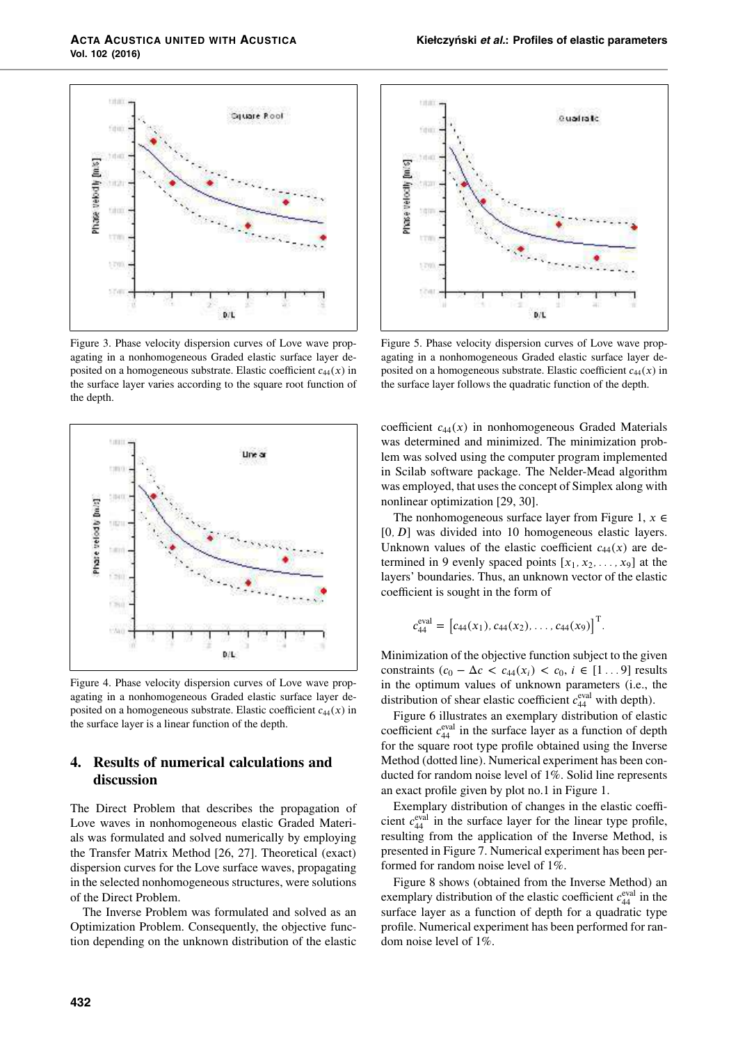

Figure 3. Phase velocity dispersion curves of Love wave propagating in a nonhomogeneous Graded elastic surface layer deposited on a homogeneous substrate. Elastic coefficient  $c_{44}(x)$  in the surface layer varies according to the square root function of the depth.



Figure 4. Phase velocity dispersion curves of Love wave propagating in a nonhomogeneous Graded elastic surface layer deposited on a homogeneous substrate. Elastic coefficient *c*44(*x*) in the surface layer is a linear function of the depth.

# **4. Results of numerical calculations and discussion**

The Direct Problem that describes the propagation of Love waves in nonhomogeneous elastic Graded Materials was formulated and solved numerically by employing the Transfer Matrix Method [26, 27]. Theoretical (exact) dispersion curves for the Love surface waves, propagating in the selected nonhomogeneous structures, were solutions of the Direct Problem.

The Inverse Problem was formulated and solved as an Optimization Problem. Consequently, the objective function depending on the unknown distribution of the elastic



Figure 5. Phase velocity dispersion curves of Love wave propagating in a nonhomogeneous Graded elastic surface layer deposited on a homogeneous substrate. Elastic coefficient  $c_{44}(x)$  in the surface layer follows the quadratic function of the depth.

coefficient  $c_{44}(x)$  in nonhomogeneous Graded Materials was determined and minimized. The minimization problem was solved using the computer program implemented in Scilab software package. The Nelder-Mead algorithm was employed, that uses the concept of Simplex along with nonlinear optimization [29, 30].

The nonhomogeneous surface layer from Figure 1,  $x \in$ [0, D] was divided into 10 homogeneous elastic layers. Unknown values of the elastic coefficient  $c_{44}(x)$  are determined in 9 evenly spaced points  $[x_1, x_2, \ldots, x_9]$  at the layers' boundaries. Thus, an unknown vector of the elastic coefficient is sought in the form of

$$
c_{44}^{\text{eval}} = [c_{44}(x_1), c_{44}(x_2), \dots, c_{44}(x_9)]^{\text{T}}.
$$

Minimization of the objective function subject to the given constraints  $(c_0 - \Delta c < c_{44}(x_i) < c_0, i \in [1...9]$  results in the optimum values of unknown parameters (i.e., the distribution of shear elastic coefficient  $c_{44}^{\text{eval}}$  with depth).

Figure 6 illustrates an exemplary distribution of elastic coefficient  $c_{44}^{\text{eval}}$  in the surface layer as a function of depth for the square root type profile obtained using the Inverse Method (dotted line). Numerical experiment has been conducted for random noise level of 1%. Solid line represents an exact profile given by plot no.1 in Figure 1.

Exemplary distribution of changes in the elastic coefficient  $c_{44}^{\text{eval}}$  in the surface layer for the linear type profile, resulting from the application of the Inverse Method, is presented in Figure 7. Numerical experiment has been performed for random noise level of 1%.

Figure 8 shows (obtained from the Inverse Method) an exemplary distribution of the elastic coefficient  $c_{44}^{\text{eval}}$  in the surface layer as a function of depth for a quadratic type profile. Numerical experiment has been performed for random noise level of 1%.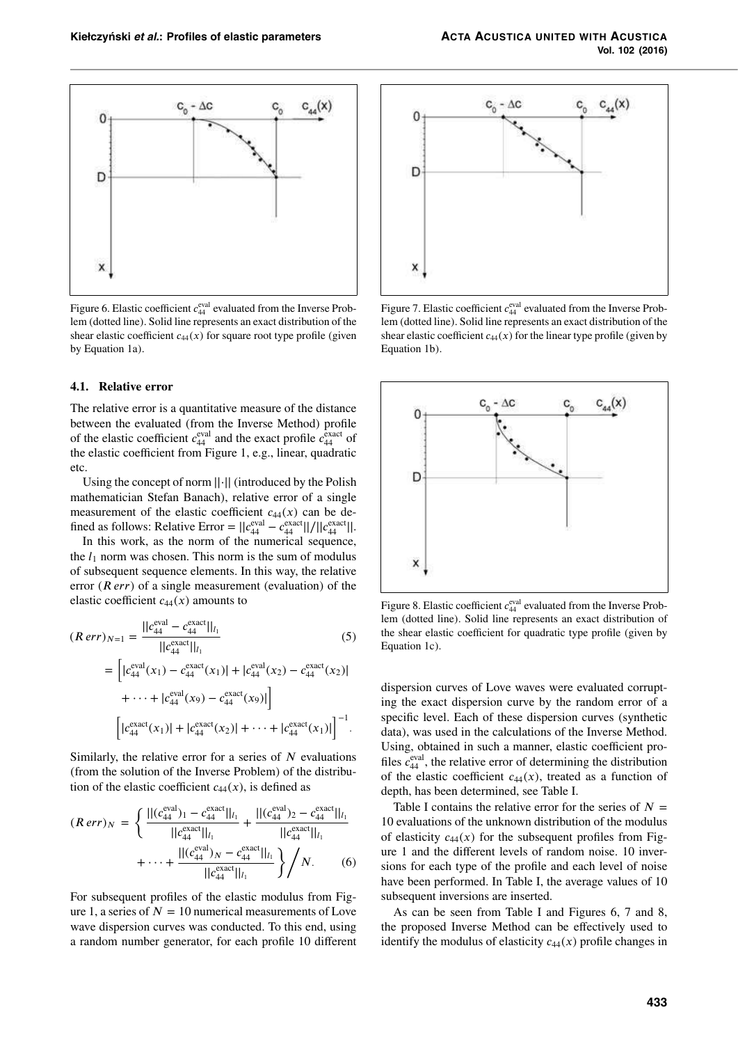

Figure 6. Elastic coefficient  $c_{44}^{\text{eval}}$  evaluated from the Inverse Problem (dotted line). Solid line represents an exact distribution of the shear elastic coefficient  $c_{44}(x)$  for square root type profile (given by Equation 1a).

#### **4.1. Relative error**

The relative error is a quantitative measure of the distance between the evaluated (from the Inverse Method) profile of the elastic coefficient  $c_{44}^{\text{eval}}$  and the exact profile  $c_{44}^{\text{exact}}$  of the elastic coefficient from Figure 1, e.g., linear, quadratic etc.

Using the concept of norm ||·|| (introduced by the Polish mathematician Stefan Banach), relative error of a single measurement of the elastic coefficient  $c_{44}(x)$  can be defined as follows: Relative Error =  $||c_{44}^{\text{eval}} - c_{44}^{\text{exact}}||/||c_{44}^{\text{exact}}||$ .

In this work, as the norm of the numerical sequence, the  $l_1$  norm was chosen. This norm is the sum of modulus of subsequent sequence elements. In this way, the relative error  $(R \text{ } err)$  of a single measurement (evaluation) of the elastic coefficient  $c_{44}(x)$  amounts to

$$
(R \text{ err})_{N=1} = \frac{||c_{44}^{\text{eval}} - c_{44}^{\text{exact}}||_{l_1}}{||c_{44}^{\text{exact}}||_{l_1}}
$$
(5)  

$$
= \left[|c_{44}^{\text{eval}}(x_1) - c_{44}^{\text{exact}}(x_1)| + |c_{44}^{\text{eval}}(x_2) - c_{44}^{\text{exact}}(x_2)| + \cdots + |c_{44}^{\text{eval}}(x_9) - c_{44}^{\text{exact}}(x_9)|\right]
$$

$$
\left[|c_{44}^{\text{exact}}(x_1)| + |c_{44}^{\text{exact}}(x_2)| + \cdots + |c_{44}^{\text{exact}}(x_1)|\right]^{-1}.
$$

Similarly, the relative error for a series of *N* evaluations (from the solution of the Inverse Problem) of the distribution of the elastic coefficient  $c_{44}(x)$ , is defined as

$$
(R \, err)_N = \left\{ \frac{|| (c_{44}^{\text{eval}})_1 - c_{44}^{\text{exact}} ||_{l_1}}{|| c_{44}^{\text{exact}} ||_{l_1}} + \frac{|| (c_{44}^{\text{eval}})_2 - c_{44}^{\text{exact}} ||_{l_1}}{|| c_{44}^{\text{exact}} ||_{l_1}} + \cdots + \frac{|| (c_{44}^{\text{eval}})_N - c_{44}^{\text{exact}} ||_{l_1}}{|| c_{44}^{\text{exact}} ||_{l_1}} \right\} / N. \tag{6}
$$

For subsequent profiles of the elastic modulus from Figure 1, a series of  $N = 10$  numerical measurements of Love wave dispersion curves was conducted. To this end, using a random number generator, for each profile 10 different



Figure 7. Elastic coefficient  $c_{44}^{\text{eval}}$  evaluated from the Inverse Problem (dotted line). Solid line represents an exact distribution of the shear elastic coefficient  $c_{44}(x)$  for the linear type profile (given by Equation 1b).



Figure 8. Elastic coefficient  $c_{44}^{\text{eval}}$  evaluated from the Inverse Problem (dotted line). Solid line represents an exact distribution of the shear elastic coefficient for quadratic type profile (given by Equation 1c).

dispersion curves of Love waves were evaluated corrupting the exact dispersion curve by the random error of a specific level. Each of these dispersion curves (synthetic data), was used in the calculations of the Inverse Method. Using, obtained in such a manner, elastic coefficient profiles  $c_{44}^{\text{eval}}$ , the relative error of determining the distribution of the elastic coefficient  $c_{44}(x)$ , treated as a function of depth, has been determined, see Table I.

Table I contains the relative error for the series of  $N =$ 10 evaluations of the unknown distribution of the modulus of elasticity  $c_{44}(x)$  for the subsequent profiles from Figure 1 and the different levels of random noise. 10 inversions for each type of the profile and each level of noise have been performed. In Table I, the average values of 10 subsequent inversions are inserted.

As can be seen from Table I and Figures 6, 7 and 8, the proposed Inverse Method can be effectively used to identify the modulus of elasticity  $c_{44}(x)$  profile changes in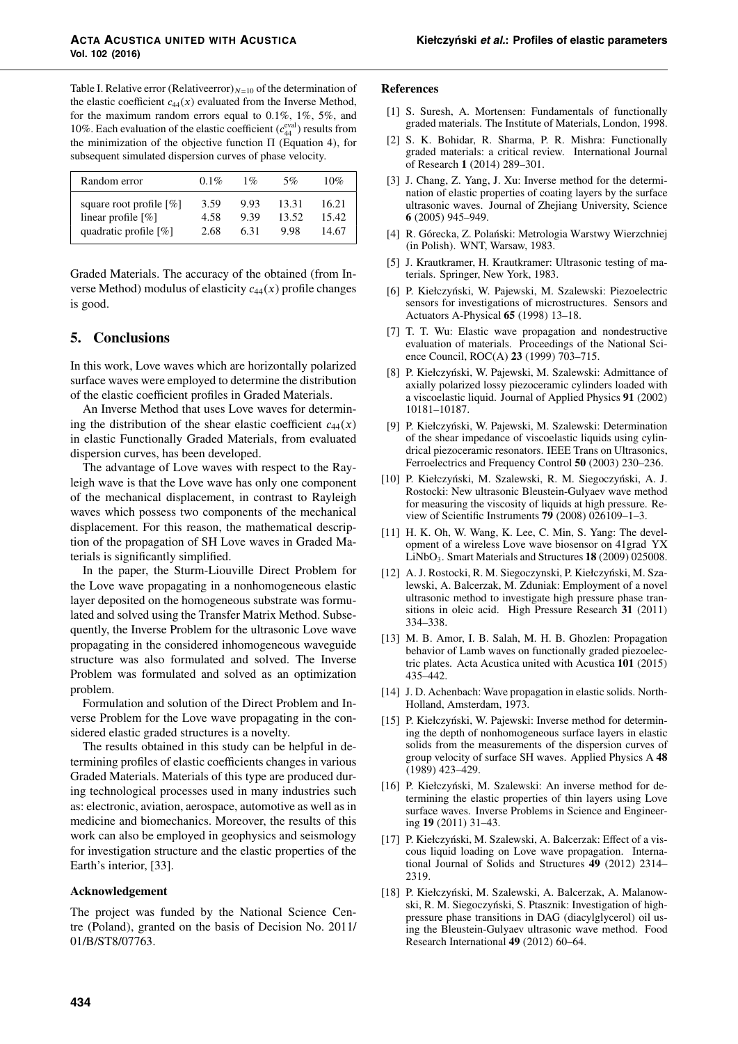| Random error               | $0.1\%$ | $1\%$ | 5%    | 10%   |
|----------------------------|---------|-------|-------|-------|
| square root profile $[\%]$ | 3.59    | 9.93  | 13.31 | 16.21 |
| linear profile $[\%]$      | 4.58    | 9.39  | 13.52 | 15.42 |
| quadratic profile $[\%]$   | 2.68    | 631   | 9.98  | 14.67 |

Graded Materials. The accuracy of the obtained (from Inverse Method) modulus of elasticity  $c_{44}(x)$  profile changes is good.

# **5. Conclusions**

In this work, Love waves which are horizontally polarized surface waves were employed to determine the distribution of the elastic coefficient profiles in Graded Materials.

An Inverse Method that uses Love waves for determining the distribution of the shear elastic coefficient  $c_{44}(x)$ in elastic Functionally Graded Materials, from evaluated dispersion curves, has been developed.

The advantage of Love waves with respect to the Rayleigh wave is that the Love wave has only one component of the mechanical displacement, in contrast to Rayleigh waves which possess two components of the mechanical displacement. For this reason, the mathematical description of the propagation of SH Love waves in Graded Materials is significantly simplified.

In the paper, the Sturm-Liouville Direct Problem for the Love wave propagating in a nonhomogeneous elastic layer deposited on the homogeneous substrate was formulated and solved using the Transfer Matrix Method. Subsequently, the Inverse Problem for the ultrasonic Love wave propagating in the considered inhomogeneous waveguide structure was also formulated and solved. The Inverse Problem was formulated and solved as an optimization problem.

Formulation and solution of the Direct Problem and Inverse Problem for the Love wave propagating in the considered elastic graded structures is a novelty.

The results obtained in this study can be helpful in determining profiles of elastic coefficients changes in various Graded Materials. Materials of this type are produced during technological processes used in many industries such as: electronic, aviation, aerospace, automotive as well as in medicine and biomechanics. Moreover, the results of this work can also be employed in geophysics and seismology for investigation structure and the elastic properties of the Earth's interior, [33].

### **Acknowledgement**

The project was funded by the National Science Centre (Poland), granted on the basis of Decision No. 2011/ 01/B/ST8/07763.

### **References**

- [1] S. Suresh, A. Mortensen: Fundamentals of functionally graded materials. The Institute of Materials, London, 1998.
- [2] S. K. Bohidar, R. Sharma, P. R. Mishra: Functionally graded materials: a critical review. International Journal of Research **1** (2014) 289–301.
- [3] J. Chang, Z. Yang, J. Xu: Inverse method for the determination of elastic properties of coating layers by the surface ultrasonic waves. Journal of Zhejiang University, Science **6** (2005) 945–949.
- [4] R. Górecka, Z. Polański: Metrologia Warstwy Wierzchniej (in Polish). WNT, Warsaw, 1983.
- [5] J. Krautkramer, H. Krautkramer: Ultrasonic testing of materials. Springer, New York, 1983.
- [6] P. Kiełczyński, W. Pajewski, M. Szalewski: Piezoelectric sensors for investigations of microstructures. Sensors and Actuators A-Physical **65** (1998) 13–18.
- [7] T. T. Wu: Elastic wave propagation and nondestructive evaluation of materials. Proceedings of the National Science Council, ROC(A) **23** (1999) 703–715.
- [8] P. Kiełczyński, W. Pajewski, M. Szalewski: Admittance of axially polarized lossy piezoceramic cylinders loaded with a viscoelastic liquid. Journal of Applied Physics **91** (2002) 10181–10187.
- [9] P. Kiełczyński, W. Pajewski, M. Szalewski: Determination of the shear impedance of viscoelastic liquids using cylindrical piezoceramic resonators. IEEE Trans on Ultrasonics, Ferroelectrics and Frequency Control **50** (2003) 230–236.
- [10] P. Kiełczyński, M. Szalewski, R. M. Siegoczyński, A. J. Rostocki: New ultrasonic Bleustein-Gulyaev wave method for measuring the viscosity of liquids at high pressure. Review of Scientific Instruments **79** (2008) 026109–1–3.
- [11] H. K. Oh, W. Wang, K. Lee, C. Min, S. Yang: The development of a wireless Love wave biosensor on 41grad YX LiNbO3. Smart Materials and Structures **18** (2009) 025008.
- [12] A. J. Rostocki, R. M. Siegoczynski, P. Kiełczyński, M. Szalewski, A. Balcerzak, M. Zduniak: Employment of a novel ultrasonic method to investigate high pressure phase transitions in oleic acid. High Pressure Research **31** (2011) 334–338.
- [13] M. B. Amor, I. B. Salah, M. H. B. Ghozlen: Propagation behavior of Lamb waves on functionally graded piezoelectric plates. Acta Acustica united with Acustica **101** (2015) 435–442.
- [14] J. D. Achenbach: Wave propagation in elastic solids. North-Holland, Amsterdam, 1973.
- [15] P. Kiełczyński, W. Pajewski: Inverse method for determining the depth of nonhomogeneous surface layers in elastic solids from the measurements of the dispersion curves of group velocity of surface SH waves. Applied Physics A **48** (1989) 423–429.
- [16] P. Kiełczyński, M. Szalewski: An inverse method for determining the elastic properties of thin layers using Love surface waves. Inverse Problems in Science and Engineering **19** (2011) 31–43.
- [17] P. Kiełczyński, M. Szalewski, A. Balcerzak: Effect of a viscous liquid loading on Love wave propagation. International Journal of Solids and Structures **49** (2012) 2314– 2319.
- [18] P. Kiełczyński, M. Szalewski, A. Balcerzak, A. Malanowski, R. M. Siegoczyński, S. Ptasznik: Investigation of highpressure phase transitions in DAG (diacylglycerol) oil using the Bleustein-Gulyaev ultrasonic wave method. Food Research International **49** (2012) 60–64.